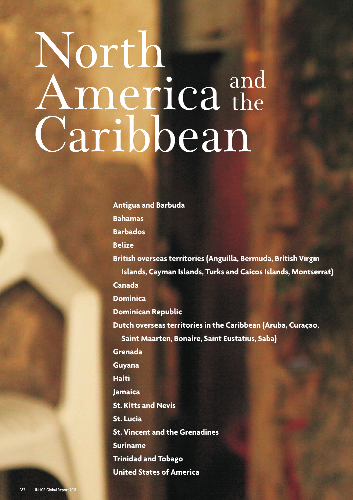# North and the

**Antigua and Barbuda Bahamas Barbados Belize British overseas territories (Anguilla, Bermuda, British Virgin Islands, Cayman Islands, Turks and Caicos Islands, Montserrat) Canada Dominica Dominican Republic Dutch overseas territories in the Caribbean (Aruba, Curaçao, Saint Maarten, Bonaire, Saint Eustatius, Saba) Grenada Guyana Haiti Jamaica St. Kitts and Nevis St. Lucia St. Vincent and the Grenadines Suriname Trinidad and Tobago United States of America**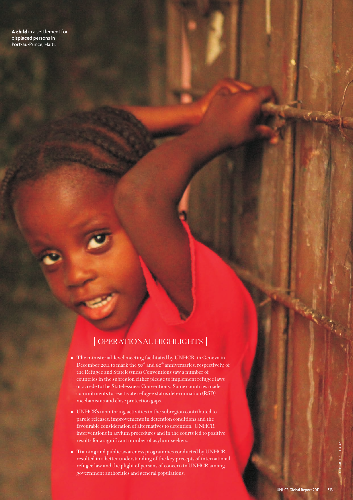A child in a settlement for displaced persons in Port-au-Prince, Haiti.

# OPERATIONAL HIGHLIGHTS

- The ministerial-level meeting facilitated by UNHCR in Geneva in December 2011 to mark the 50<sup>th</sup> and 60<sup>th</sup> anniversaries, respectively, of the Refugee and Statelessness Conventions saw a number of countries in the subregion either pledge to implement refugee laws or accede to the Statelessness Conventions. Some countries made commitments to reactivate refugee status determination (RSD) mechanisms and close protection gaps.
- UNHCR's monitoring activities in the subregion contributed to parole releases, improvements in detention conditions and the favourable consideration of alternatives to detention. UNHCR interventions in asylum procedures and in the courts led to positive results for a significant number of asylum-seekers.
- Training and public awareness programmes conducted by UNHCR resulted in a better understanding of the key precepts of international refugee law and the plight of persons of concern to UNHCR among government authorities and general populations.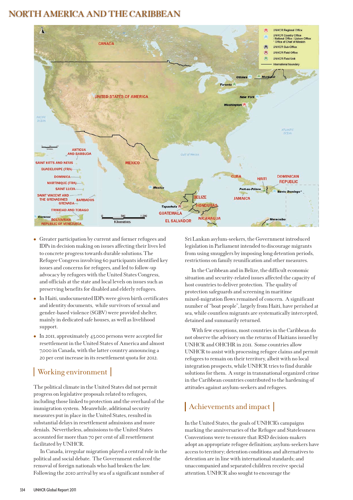#### NORTH AMERICA AND THE CARIBBEAN



- Greater participation by current and former refugees and IDPs in decision making on issues affecting their lives led to concrete progress towards durable solutions. The Refugee Congress involving 60 participants identified key issues and concerns for refugees, and led to follow-up advocacy by refugees with the United States Congress, and officials at the state and local levels on issues such as preserving benefits for disabled and elderly refugees.
- In Haiti, undocumented IDPs were given birth certificates and identity documents, while survivors of sexual and gender-based violence (SGBV) were provided shelter, mainly in dedicated safe houses, as well as livelihood support.
- In 2011, approximately 43,000 persons were accepted for resettlement in the United States of America and almost 7,000 in Canada, with the latter country announcing a 20 per cent increase in its resettlement quota for 2012.

## Working environment

The political climate in the United States did not permit progress on legislative proposals related to refugees, including those linked to protection and the overhaul of the immigration system. Meanwhile, additional security measures put in place in the United States, resulted in substantial delays in resettlement admissions and more denials. Nevertheless, admissions to the United States accounted for more than 70 per cent of all resettlement facilitated by UNHCR.

In Canada, irregular migration played a central role in the political and social debate. The Government enforced the removal of foreign nationals who had broken the law. Following the 2010 arrival by sea of a significant number of

Sri Lankan asylum-seekers, the Government introduced legislation in Parliament intended to discourage migrants from using smugglers by imposing long detention periods, restrictions on family reunification and other measures.

In the Caribbean and in Belize, the difficult economic situation and security-related issues affected the capacity of host countries to deliver protection. The quality of protection safeguards and screening in maritime mixed-migration flows remained of concern. A significant number of "boat people", largely from Haiti, have perished at sea, while countless migrants are systematically intercepted, detained and summarily returned.

With few exceptions, most countries in the Caribbean do not observe the advisory on the returns of Haitians issued by UNHCR and OHCHR in 2011. Some countries allow UNHCR to assist with processing refugee claims and permit refugees to remain on their territory, albeit with no local integration prospects, while UNHCR tries to find durable solutions for them. A surge in transnational organized crime in the Caribbean countries contributed to the hardening of attitudes against asylum-seekers and refugees.

# | Achievements and impact |

In the United States, the goals of UNHCR's campaigns marking the anniversaries of the Refugee and Statelessness Conventions were to ensure that: RSD decision-makers adopt an appropriate refugee definition; asylum-seekers have access to territory; detention conditions and alternatives to detention are in line with international standards; and unaccompanied and separated children receive special attention. UNHCR also sought to encourage the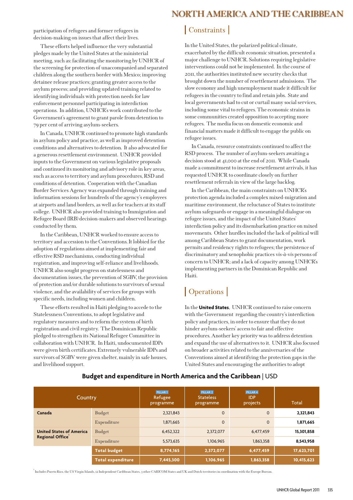#### NORTH AMERICA AND THE CARIBBEAN

participation of refugees and former refugees in decision-making on issues that affect their lives.

These efforts helped influence the very substantial pledges made by the United States at the ministerial meeting, such as: facilitating the monitoring by UNHCR of the screening for protection of unaccompanied and separated children along the southern border with Mexico; improving detainee release practices; granting greater access to the asylum process; and providing updated training related to identifying individuals with protection needs for law enforcement personnel participating in interdiction operations. In addition, UNHCR's work contributed to the Government's agreement to grant parole from detention to 79 per cent of arriving asylum-seekers.

In Canada, UNHCR continued to promote high standards in asylum policy and practice, as well as improved detention conditions and alternatives to detention. It also advocated for a generous resettlement environment. UNHCR provided inputs to the Government on various legislative proposals and continued its monitoring and advisory role in key areas, such as access to territory and asylum procedures, RSD and conditions of detention. Cooperation with the Canadian Border Services Agency was expanded through training and information sessions for hundreds of the agency's employees at airports and land borders, as well as for teachers at its staff college. UNHCR also provided training to Immigration and Refugee Board (IRB) decision-makers and observed hearings conducted by them.

In the Caribbean, UNHCR worked to ensure access to territory and accession to the Conventions. It lobbied for the adoption of regulations aimed at implementing fair and effective RSD mechanisms, conducting individual registration, and improving self-reliance and livelihoods. UNHCR also sought progress on statelessness and documentation issues, the prevention of SGBV, the provision of protection and/or durable solutions to survivors of sexual violence, and the availability of services for groups with specific needs, including women and children.

These efforts resulted in Haiti pledging to accede to the Statelessness Conventions, to adopt legislative and regulatory measures and to reform the system of birth registration and civil registry. The Dominican Republic pledged to strengthen its National Refugee Committee in collaboration with UNHCR. In Haiti, undocumented IDPs were given birth certificates. Extremely vulnerable IDPs and survivors of SGBV were given shelter, mainly in safe houses, and livelihood support.

#### | Constraints |

In the United States, the polarized political climate, exacerbated by the difficult economic situation, presented a major challenge to UNHCR. Solutions requiring legislative interventions could not be implemented. In the course of 2011, the authorities instituted new security checks that brought down the number of resettlement admissions. The slow economy and high unemployment made it difficult for refugees in the country to find and retain jobs. State and local governments had to cut or curtail many social services, including some vital to refugees. The economic strains in some communities created opposition to accepting more refugees. The media focus on domestic economic and financial matters made it difficult to engage the public on refugee issues.

In Canada, resource constraints continued to affect the RSD process. The number of asylum-seekers awaiting a decision stood at 41,000 at the end of 2011. While Canada made a commitment to increase resettlement arrivals, it has requested UNHCR to coordinate closely on further resettlement referrals in view of the large backlog.

In the Caribbean, the main constraints on UNHCR's protection agenda included a complex mixed-migration and maritime environment, the reluctance of States to institute asylum safeguards or engage in a meaningful dialogue on refugee issues, and the impact of the United States' interdiction policy and its disembarkation practice on mixed movements. Other hurdles included the lack of political will among Caribbean States to grant documentation, work permits and residency rights to refugees; the persistence of discriminatory and xenophobic practices *vis-à-vis* persons of concern to UNHCR; and a lack of capacity among UNHCR's implementing partners in the Dominican Republic and Haiti.

## | Operations |

In the United States, UNHCR continued to raise concern with the Government regarding the country's interdiction policy and practices, in order to ensure that they do not hinder asylum-seekers' access to fair and effective procedures. Another key priority was to address detention and expand the use of alternatives to it. UNHCR also focused on broader activities related to the anniversaries of the Conventions aimed at identifying the protection gaps in the United States and encouraging the authorities to adopt

| Country                                            |                          | <b>PILLAR1</b><br><b>Refugee</b><br>programme | PILLAR <sub>2</sub><br><b>Stateless</b><br>programme | PILLAR 4<br><b>IDP</b><br>projects | Total      |
|----------------------------------------------------|--------------------------|-----------------------------------------------|------------------------------------------------------|------------------------------------|------------|
| Canada                                             | Budget                   | 2,321,843                                     | $\mathbf{O}$                                         | $\mathbf 0$                        | 2,321,843  |
|                                                    | Expenditure              | 1,871,665                                     | $\mathbf 0$                                          | $\mathbf 0$                        | 1,871,665  |
| <b>United States of America</b><br>Regional Office | Budget                   | 6,452,322                                     | 2,372,077                                            | 6,477,459                          | 15,301,858 |
|                                                    | Expenditure              | 5,573,635                                     | 1,106,965                                            | 1,863,358                          | 8,543,958  |
|                                                    | <b>Total budget</b>      | 8,774,165                                     | 2,372,077                                            | 6,477,459                          | 17,623,701 |
|                                                    | <b>Total expenditure</b> | 7,445,300                                     | 1,106,965                                            | 1,863,358                          | 10,415,623 |

#### **Budget and expenditure in North America and the Caribbean** | USD

1 Includes Puerto Rico, the US Virgin Islands, 12 Independent Caribbean States, 3 other CARICOM States and UK and Dutch territories in coordination with the Europe Bureau.